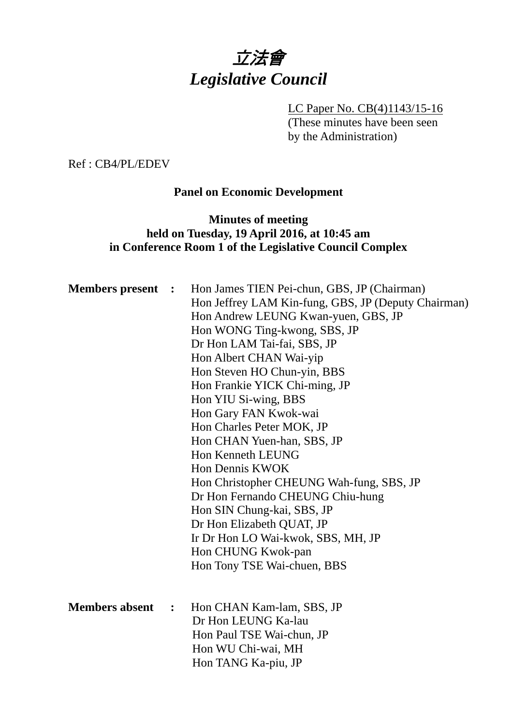# 立法會 *Legislative Council*

LC Paper No. CB(4)1143/15-16 (These minutes have been seen by the Administration)

Ref : CB4/PL/EDEV

#### **Panel on Economic Development**

# **Minutes of meeting held on Tuesday, 19 April 2016, at 10:45 am in Conference Room 1 of the Legislative Council Complex**

| <b>Members</b> present | $\mathbf{L}$   | Hon James TIEN Pei-chun, GBS, JP (Chairman)<br>Hon Jeffrey LAM Kin-fung, GBS, JP (Deputy Chairman)<br>Hon Andrew LEUNG Kwan-yuen, GBS, JP<br>Hon WONG Ting-kwong, SBS, JP<br>Dr Hon LAM Tai-fai, SBS, JP<br>Hon Albert CHAN Wai-yip<br>Hon Steven HO Chun-yin, BBS<br>Hon Frankie YICK Chi-ming, JP<br>Hon YIU Si-wing, BBS<br>Hon Gary FAN Kwok-wai<br>Hon Charles Peter MOK, JP<br>Hon CHAN Yuen-han, SBS, JP<br>Hon Kenneth LEUNG<br>Hon Dennis KWOK<br>Hon Christopher CHEUNG Wah-fung, SBS, JP<br>Dr Hon Fernando CHEUNG Chiu-hung<br>Hon SIN Chung-kai, SBS, JP<br>Dr Hon Elizabeth QUAT, JP<br>Ir Dr Hon LO Wai-kwok, SBS, MH, JP<br>Hon CHUNG Kwok-pan<br>Hon Tony TSE Wai-chuen, BBS |
|------------------------|----------------|-----------------------------------------------------------------------------------------------------------------------------------------------------------------------------------------------------------------------------------------------------------------------------------------------------------------------------------------------------------------------------------------------------------------------------------------------------------------------------------------------------------------------------------------------------------------------------------------------------------------------------------------------------------------------------------------------|
| <b>Members absent</b>  | $\ddot{\cdot}$ | Hon CHAN Kam-lam, SBS, JP<br>Dr Hon LEUNG Ka-lau<br>Hon Paul TSE Wai-chun, JP<br>Hon WU Chi-wai, MH<br>Hon TANG Ka-piu, JP                                                                                                                                                                                                                                                                                                                                                                                                                                                                                                                                                                    |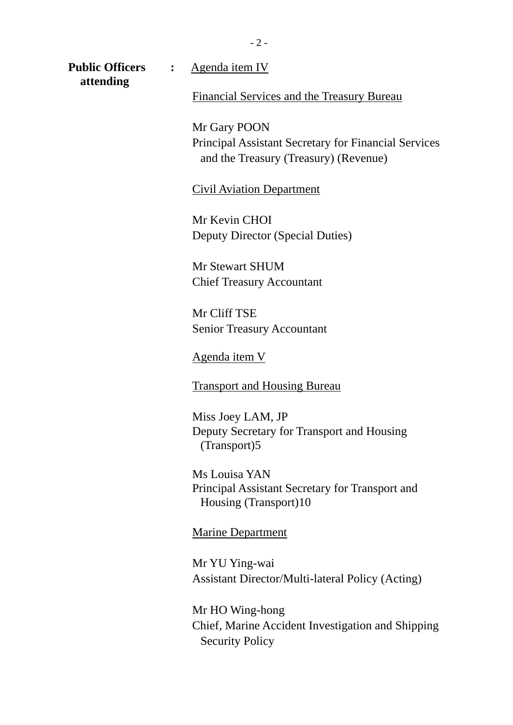- 2 -

**attending** 

**Public Officers :** Agenda item IV

Financial Services and the Treasury Bureau

Mr Gary POON Principal Assistant Secretary for Financial Services and the Treasury (Treasury) (Revenue)

Civil Aviation Department

Mr Kevin CHOI Deputy Director (Special Duties)

Mr Stewart SHUM Chief Treasury Accountant

Mr Cliff TSE Senior Treasury Accountant

Agenda item V

Transport and Housing Bureau

Miss Joey LAM, JP Deputy Secretary for Transport and Housing (Transport)5

Ms Louisa YAN Principal Assistant Secretary for Transport and Housing (Transport)10

Marine Department

Mr YU Ying-wai Assistant Director/Multi-lateral Policy (Acting)

Mr HO Wing-hong Chief, Marine Accident Investigation and Shipping Security Policy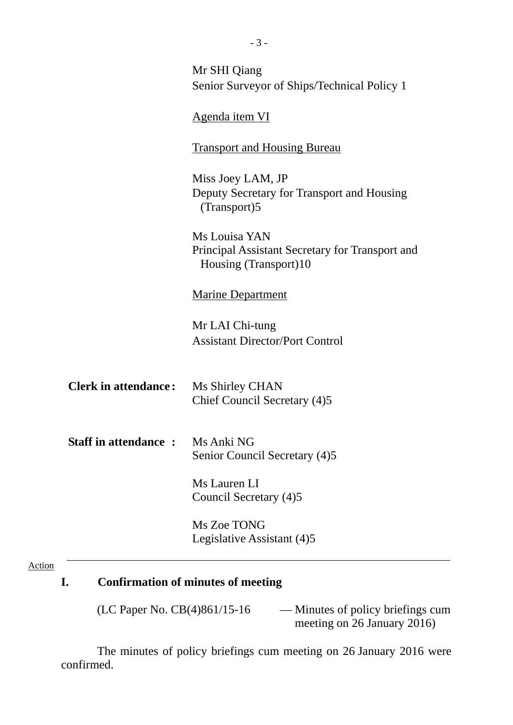|                             | Mr SHI Qiang                                                             |  |
|-----------------------------|--------------------------------------------------------------------------|--|
|                             | Senior Surveyor of Ships/Technical Policy 1                              |  |
|                             |                                                                          |  |
|                             | Agenda item VI                                                           |  |
|                             |                                                                          |  |
|                             | <b>Transport and Housing Bureau</b>                                      |  |
|                             |                                                                          |  |
|                             | Miss Joey LAM, JP                                                        |  |
|                             | Deputy Secretary for Transport and Housing                               |  |
|                             | (Transport)5                                                             |  |
|                             |                                                                          |  |
|                             | Ms Louisa YAN                                                            |  |
|                             | Principal Assistant Secretary for Transport and<br>Housing (Transport)10 |  |
|                             |                                                                          |  |
|                             | <b>Marine Department</b>                                                 |  |
|                             |                                                                          |  |
|                             | Mr LAI Chi-tung                                                          |  |
|                             | <b>Assistant Director/Port Control</b>                                   |  |
|                             |                                                                          |  |
|                             |                                                                          |  |
| <b>Clerk in attendance:</b> | Ms Shirley CHAN                                                          |  |
|                             | Chief Council Secretary (4)5                                             |  |
|                             |                                                                          |  |
|                             |                                                                          |  |
| <b>Staff in attendance:</b> | Ms Anki NG                                                               |  |
|                             | Senior Council Secretary (4)5                                            |  |
|                             | Ms Lauren LI                                                             |  |
|                             | Council Secretary (4)5                                                   |  |
|                             |                                                                          |  |
|                             | Ms Zoe TONG                                                              |  |
|                             | Legislative Assistant (4)5                                               |  |
|                             |                                                                          |  |

# Action

# **I. Confirmation of minutes of meeting**

| (LC Paper No. $CB(4)861/15-16$ | — Minutes of policy briefings cum |
|--------------------------------|-----------------------------------|
|                                | meeting on 26 January 2016)       |

The minutes of policy briefings cum meeting on 26 January 2016 were confirmed.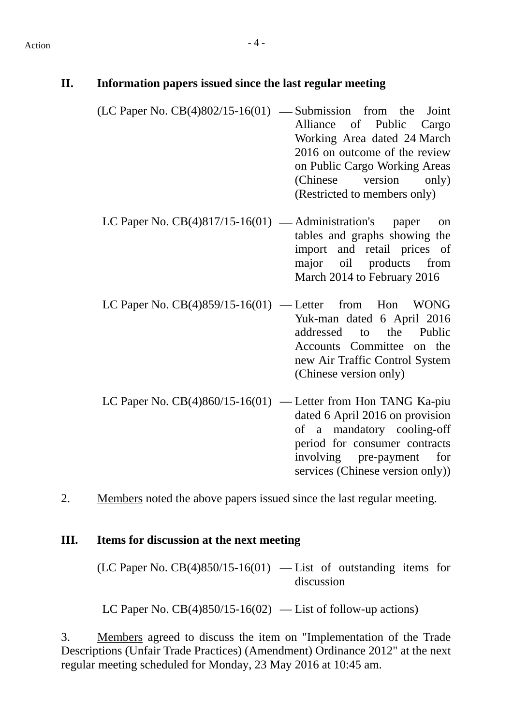| П. | Information papers issued since the last regular meeting        |                                                                                                                                                                                                                                                                                                                                                      |
|----|-----------------------------------------------------------------|------------------------------------------------------------------------------------------------------------------------------------------------------------------------------------------------------------------------------------------------------------------------------------------------------------------------------------------------------|
|    | $(LC$ Paper No. $CB(4)802/15-16(01)$ — Submission from the      | Joint<br>Alliance of Public<br>Cargo<br>Working Area dated 24 March<br>2016 on outcome of the review<br>on Public Cargo Working Areas<br>(Chinese version only)<br>(Restricted to members only)                                                                                                                                                      |
|    | LC Paper No. $CB(4)817/15-16(01)$ — Administration's paper      | on<br>tables and graphs showing the<br>import and retail prices of<br>major oil products from<br>March 2014 to February 2016                                                                                                                                                                                                                         |
|    | LC Paper No. $CB(4)859/15-16(01)$ — Letter from Hon             | <b>WONG</b><br>Yuk-man dated 6 April 2016<br>addressed to the Public<br>Accounts Committee on the<br>new Air Traffic Control System<br>(Chinese version only)                                                                                                                                                                                        |
|    | LC Paper No. $CB(4)860/15-16(01)$ — Letter from Hon TANG Ka-piu | dated 6 April 2016 on provision<br>$\mathcal{C}$ and $\mathcal{C}$ and $\mathcal{C}$ and $\mathcal{C}$ and $\mathcal{C}$ and $\mathcal{C}$ and $\mathcal{C}$ and $\mathcal{C}$ and $\mathcal{C}$ and $\mathcal{C}$ and $\mathcal{C}$ and $\mathcal{C}$ and $\mathcal{C}$ and $\mathcal{C}$ and $\mathcal{C}$ and $\mathcal{C}$ and $\mathcal{C}$ and |

of a mandatory cooling-off period for consumer contracts involving pre-payment for services (Chinese version only))

2. Members noted the above papers issued since the last regular meeting.

#### **III. Items for discussion at the next meeting**

 $(LC$  Paper No.  $CB(4)850/15-16(01)$  — List of outstanding items for discussion

LC Paper No.  $CB(4)850/15-16(02)$  — List of follow-up actions)

3. Members agreed to discuss the item on "Implementation of the Trade Descriptions (Unfair Trade Practices) (Amendment) Ordinance 2012" at the next regular meeting scheduled for Monday, 23 May 2016 at 10:45 am.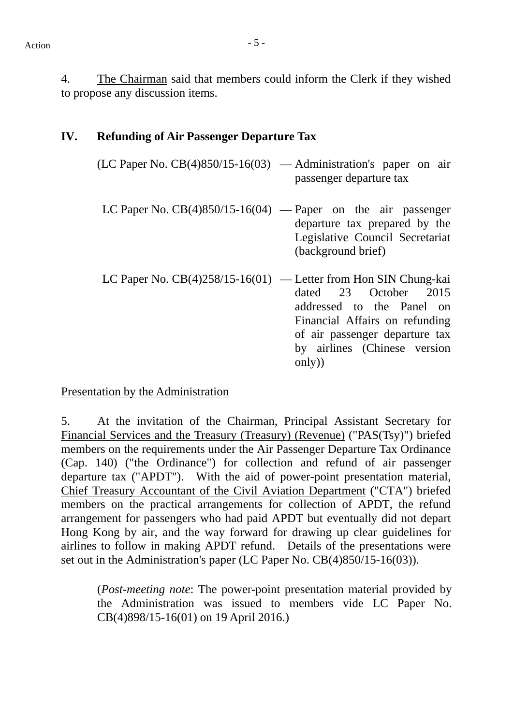4. The Chairman said that members could inform the Clerk if they wished to propose any discussion items.

#### **IV. Refunding of Air Passenger Departure Tax**

| $(LC$ Paper No. $CB(4)850/15-16(03)$ — Administration's paper on air | passenger departure tax                                                                                                            |
|----------------------------------------------------------------------|------------------------------------------------------------------------------------------------------------------------------------|
|                                                                      | LC Paper No. $CB(4)850/15-16(04)$ — Paper on the air passenger<br>departure tax prepared by the<br>Legislative Council Secretariat |

(background brief)

LC Paper No. CB(4)258/15-16(01) — Letter from Hon SIN Chung-kai dated 23 October 2015 addressed to the Panel on Financial Affairs on refunding of air passenger departure tax by airlines (Chinese version only))

#### Presentation by the Administration

5. At the invitation of the Chairman, Principal Assistant Secretary for Financial Services and the Treasury (Treasury) (Revenue) ("PAS(Tsy)") briefed members on the requirements under the Air Passenger Departure Tax Ordinance (Cap. 140) ("the Ordinance") for collection and refund of air passenger departure tax ("APDT"). With the aid of power-point presentation material, Chief Treasury Accountant of the Civil Aviation Department ("CTA") briefed members on the practical arrangements for collection of APDT, the refund arrangement for passengers who had paid APDT but eventually did not depart Hong Kong by air, and the way forward for drawing up clear guidelines for airlines to follow in making APDT refund. Details of the presentations were set out in the Administration's paper (LC Paper No. CB(4)850/15-16(03)).

(*Post-meeting note*: The power-point presentation material provided by the Administration was issued to members vide LC Paper No. CB(4)898/15-16(01) on 19 April 2016.)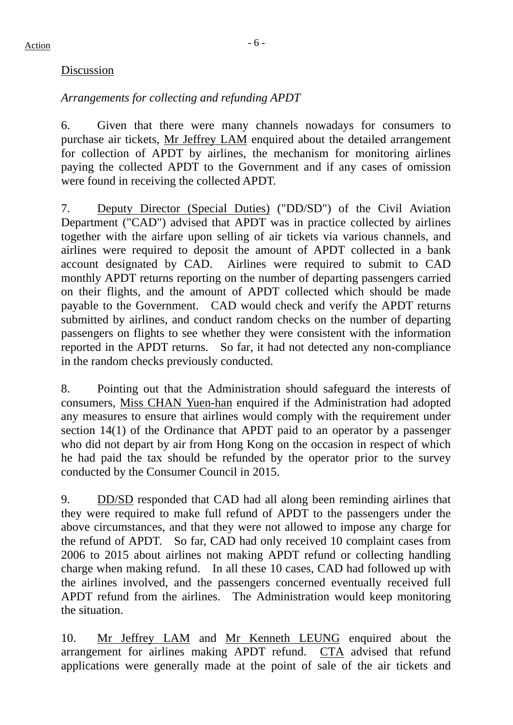#### Discussion

# *Arrangements for collecting and refunding APDT*

6. Given that there were many channels nowadays for consumers to purchase air tickets, Mr Jeffrey LAM enquired about the detailed arrangement for collection of APDT by airlines, the mechanism for monitoring airlines paying the collected APDT to the Government and if any cases of omission were found in receiving the collected APDT.

7. Deputy Director (Special Duties) ("DD/SD") of the Civil Aviation Department ("CAD") advised that APDT was in practice collected by airlines together with the airfare upon selling of air tickets via various channels, and airlines were required to deposit the amount of APDT collected in a bank account designated by CAD. Airlines were required to submit to CAD monthly APDT returns reporting on the number of departing passengers carried on their flights, and the amount of APDT collected which should be made payable to the Government. CAD would check and verify the APDT returns submitted by airlines, and conduct random checks on the number of departing passengers on flights to see whether they were consistent with the information reported in the APDT returns. So far, it had not detected any non-compliance in the random checks previously conducted.

8. Pointing out that the Administration should safeguard the interests of consumers, Miss CHAN Yuen-han enquired if the Administration had adopted any measures to ensure that airlines would comply with the requirement under section 14(1) of the Ordinance that APDT paid to an operator by a passenger who did not depart by air from Hong Kong on the occasion in respect of which he had paid the tax should be refunded by the operator prior to the survey conducted by the Consumer Council in 2015.

9. DD/SD responded that CAD had all along been reminding airlines that they were required to make full refund of APDT to the passengers under the above circumstances, and that they were not allowed to impose any charge for the refund of APDT. So far, CAD had only received 10 complaint cases from 2006 to 2015 about airlines not making APDT refund or collecting handling charge when making refund. In all these 10 cases, CAD had followed up with the airlines involved, and the passengers concerned eventually received full APDT refund from the airlines. The Administration would keep monitoring the situation.

10. Mr Jeffrey LAM and Mr Kenneth LEUNG enquired about the arrangement for airlines making APDT refund. CTA advised that refund applications were generally made at the point of sale of the air tickets and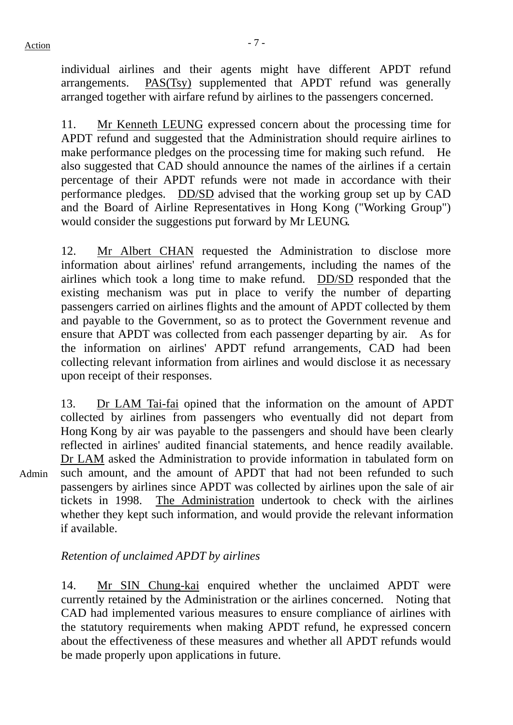Admin

individual airlines and their agents might have different APDT refund arrangements. PAS(Tsy) supplemented that APDT refund was generally arranged together with airfare refund by airlines to the passengers concerned.

11. Mr Kenneth LEUNG expressed concern about the processing time for APDT refund and suggested that the Administration should require airlines to make performance pledges on the processing time for making such refund. He also suggested that CAD should announce the names of the airlines if a certain percentage of their APDT refunds were not made in accordance with their performance pledges. DD/SD advised that the working group set up by CAD and the Board of Airline Representatives in Hong Kong ("Working Group") would consider the suggestions put forward by Mr LEUNG.

12. Mr Albert CHAN requested the Administration to disclose more information about airlines' refund arrangements, including the names of the airlines which took a long time to make refund. DD/SD responded that the existing mechanism was put in place to verify the number of departing passengers carried on airlines flights and the amount of APDT collected by them and payable to the Government, so as to protect the Government revenue and ensure that APDT was collected from each passenger departing by air. As for the information on airlines' APDT refund arrangements, CAD had been collecting relevant information from airlines and would disclose it as necessary upon receipt of their responses.

13. Dr LAM Tai-fai opined that the information on the amount of APDT collected by airlines from passengers who eventually did not depart from Hong Kong by air was payable to the passengers and should have been clearly reflected in airlines' audited financial statements, and hence readily available. Dr LAM asked the Administration to provide information in tabulated form on such amount, and the amount of APDT that had not been refunded to such passengers by airlines since APDT was collected by airlines upon the sale of air tickets in 1998. The Administration undertook to check with the airlines whether they kept such information, and would provide the relevant information if available.

#### *Retention of unclaimed APDT by airlines*

14. Mr SIN Chung-kai enquired whether the unclaimed APDT were currently retained by the Administration or the airlines concerned. Noting that CAD had implemented various measures to ensure compliance of airlines with the statutory requirements when making APDT refund, he expressed concern about the effectiveness of these measures and whether all APDT refunds would be made properly upon applications in future.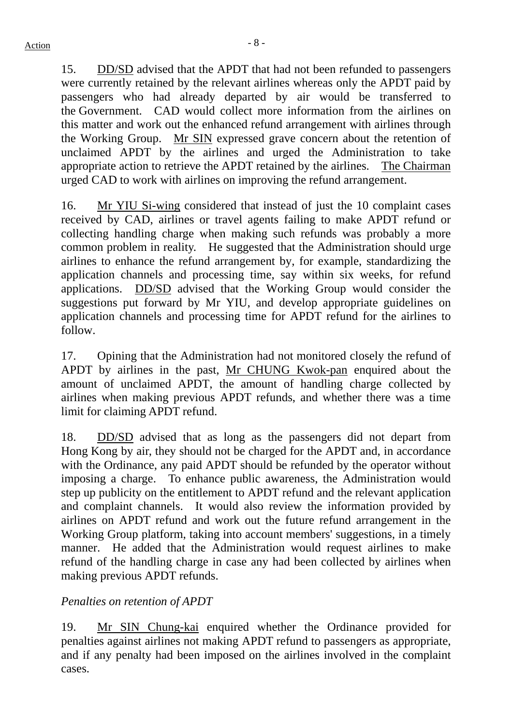15. DD/SD advised that the APDT that had not been refunded to passengers were currently retained by the relevant airlines whereas only the APDT paid by passengers who had already departed by air would be transferred to the Government. CAD would collect more information from the airlines on this matter and work out the enhanced refund arrangement with airlines through the Working Group. Mr SIN expressed grave concern about the retention of unclaimed APDT by the airlines and urged the Administration to take appropriate action to retrieve the APDT retained by the airlines. The Chairman urged CAD to work with airlines on improving the refund arrangement.

16. Mr YIU Si-wing considered that instead of just the 10 complaint cases received by CAD, airlines or travel agents failing to make APDT refund or collecting handling charge when making such refunds was probably a more common problem in reality. He suggested that the Administration should urge airlines to enhance the refund arrangement by, for example, standardizing the application channels and processing time, say within six weeks, for refund applications. DD/SD advised that the Working Group would consider the suggestions put forward by Mr YIU, and develop appropriate guidelines on application channels and processing time for APDT refund for the airlines to follow.

17. Opining that the Administration had not monitored closely the refund of APDT by airlines in the past, Mr CHUNG Kwok-pan enquired about the amount of unclaimed APDT, the amount of handling charge collected by airlines when making previous APDT refunds, and whether there was a time limit for claiming APDT refund.

18. DD/SD advised that as long as the passengers did not depart from Hong Kong by air, they should not be charged for the APDT and, in accordance with the Ordinance, any paid APDT should be refunded by the operator without imposing a charge. To enhance public awareness, the Administration would step up publicity on the entitlement to APDT refund and the relevant application and complaint channels. It would also review the information provided by airlines on APDT refund and work out the future refund arrangement in the Working Group platform, taking into account members' suggestions, in a timely manner. He added that the Administration would request airlines to make refund of the handling charge in case any had been collected by airlines when making previous APDT refunds.

#### *Penalties on retention of APDT*

19. Mr SIN Chung-kai enquired whether the Ordinance provided for penalties against airlines not making APDT refund to passengers as appropriate, and if any penalty had been imposed on the airlines involved in the complaint cases.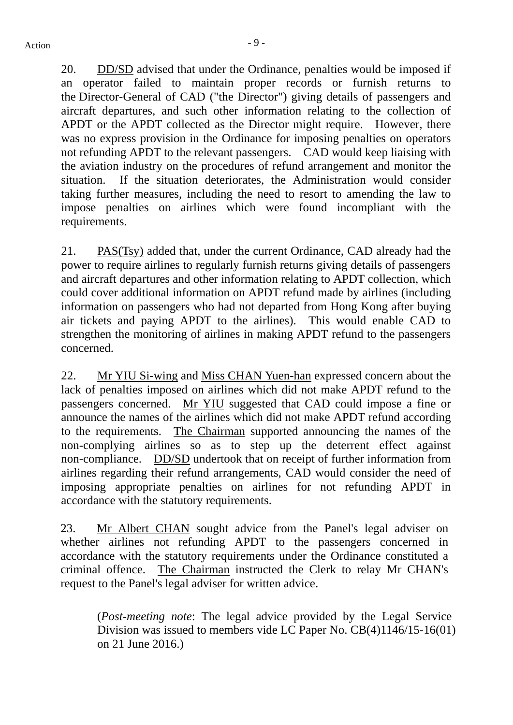20. DD/SD advised that under the Ordinance, penalties would be imposed if an operator failed to maintain proper records or furnish returns to the Director-General of CAD ("the Director") giving details of passengers and aircraft departures, and such other information relating to the collection of APDT or the APDT collected as the Director might require. However, there was no express provision in the Ordinance for imposing penalties on operators not refunding APDT to the relevant passengers. CAD would keep liaising with the aviation industry on the procedures of refund arrangement and monitor the situation. If the situation deteriorates, the Administration would consider taking further measures, including the need to resort to amending the law to impose penalties on airlines which were found incompliant with the requirements.

21. PAS(Tsy) added that, under the current Ordinance, CAD already had the power to require airlines to regularly furnish returns giving details of passengers and aircraft departures and other information relating to APDT collection, which could cover additional information on APDT refund made by airlines (including information on passengers who had not departed from Hong Kong after buying air tickets and paying APDT to the airlines). This would enable CAD to strengthen the monitoring of airlines in making APDT refund to the passengers concerned.

22. Mr YIU Si-wing and Miss CHAN Yuen-han expressed concern about the lack of penalties imposed on airlines which did not make APDT refund to the passengers concerned. Mr YIU suggested that CAD could impose a fine or announce the names of the airlines which did not make APDT refund according to the requirements. The Chairman supported announcing the names of the non-complying airlines so as to step up the deterrent effect against non-compliance. DD/SD undertook that on receipt of further information from airlines regarding their refund arrangements, CAD would consider the need of imposing appropriate penalties on airlines for not refunding APDT in accordance with the statutory requirements.

23. Mr Albert CHAN sought advice from the Panel's legal adviser on whether airlines not refunding APDT to the passengers concerned in accordance with the statutory requirements under the Ordinance constituted a criminal offence. The Chairman instructed the Clerk to relay Mr CHAN's request to the Panel's legal adviser for written advice.

(*Post-meeting note*: The legal advice provided by the Legal Service Division was issued to members vide LC Paper No. CB(4)1146/15-16(01) on 21 June 2016.)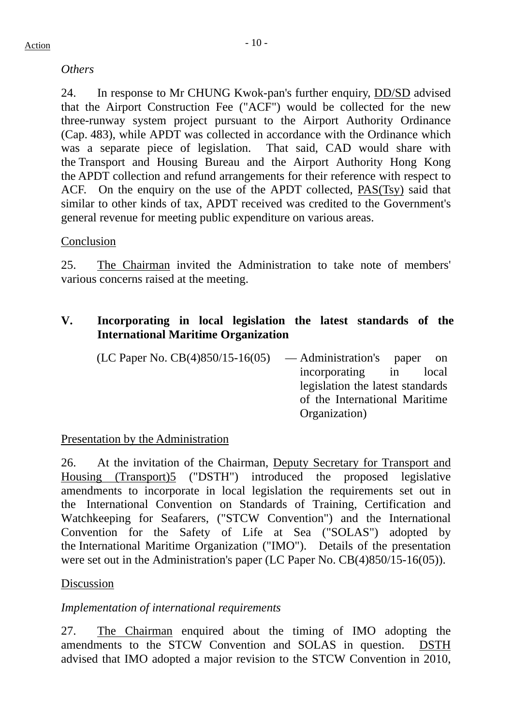## *Others*

24. In response to Mr CHUNG Kwok-pan's further enquiry, DD/SD advised that the Airport Construction Fee ("ACF") would be collected for the new three-runway system project pursuant to the Airport Authority Ordinance (Cap. 483), while APDT was collected in accordance with the Ordinance which was a separate piece of legislation. That said, CAD would share with the Transport and Housing Bureau and the Airport Authority Hong Kong the APDT collection and refund arrangements for their reference with respect to ACF. On the enquiry on the use of the APDT collected, PAS(Tsy) said that similar to other kinds of tax, APDT received was credited to the Government's general revenue for meeting public expenditure on various areas.

#### Conclusion

25. The Chairman invited the Administration to take note of members' various concerns raised at the meeting.

# **V. Incorporating in local legislation the latest standards of the International Maritime Organization**

| (LC Paper No. $CB(4)850/15-16(05)$ | — Administration's paper on      |
|------------------------------------|----------------------------------|
|                                    | incorporating in local           |
|                                    | legislation the latest standards |
|                                    | of the International Maritime    |
|                                    | Organization)                    |

#### Presentation by the Administration

26. At the invitation of the Chairman, Deputy Secretary for Transport and Housing (Transport)5 ("DSTH") introduced the proposed legislative amendments to incorporate in local legislation the requirements set out in the International Convention on Standards of Training, Certification and Watchkeeping for Seafarers, ("STCW Convention") and the International Convention for the Safety of Life at Sea ("SOLAS") adopted by the International Maritime Organization ("IMO"). Details of the presentation were set out in the Administration's paper (LC Paper No. CB(4)850/15-16(05)).

#### Discussion

# *Implementation of international requirements*

27. The Chairman enquired about the timing of IMO adopting the amendments to the STCW Convention and SOLAS in question. DSTH advised that IMO adopted a major revision to the STCW Convention in 2010,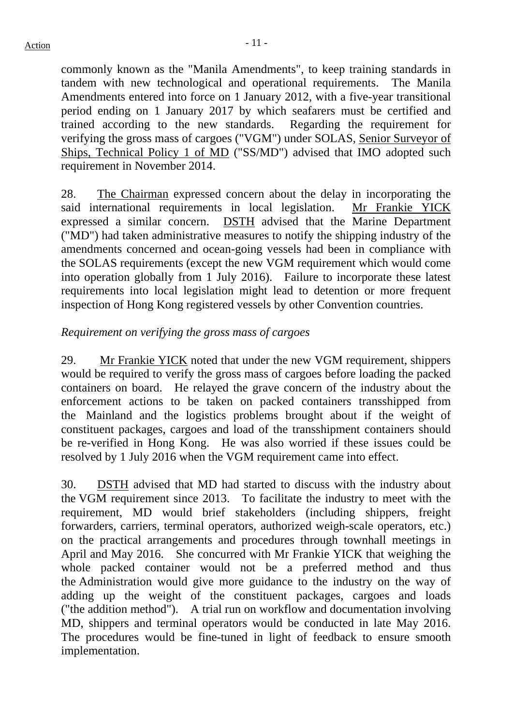commonly known as the "Manila Amendments", to keep training standards in tandem with new technological and operational requirements. The Manila Amendments entered into force on 1 January 2012, with a five-year transitional period ending on 1 January 2017 by which seafarers must be certified and trained according to the new standards. Regarding the requirement for verifying the gross mass of cargoes ("VGM") under SOLAS, Senior Surveyor of Ships, Technical Policy 1 of MD ("SS/MD") advised that IMO adopted such requirement in November 2014.

28. The Chairman expressed concern about the delay in incorporating the said international requirements in local legislation. Mr Frankie YICK expressed a similar concern. DSTH advised that the Marine Department ("MD") had taken administrative measures to notify the shipping industry of the amendments concerned and ocean-going vessels had been in compliance with the SOLAS requirements (except the new VGM requirement which would come into operation globally from 1 July 2016). Failure to incorporate these latest requirements into local legislation might lead to detention or more frequent inspection of Hong Kong registered vessels by other Convention countries.

#### *Requirement on verifying the gross mass of cargoes*

29. Mr Frankie YICK noted that under the new VGM requirement, shippers would be required to verify the gross mass of cargoes before loading the packed containers on board. He relayed the grave concern of the industry about the enforcement actions to be taken on packed containers transshipped from the Mainland and the logistics problems brought about if the weight of constituent packages, cargoes and load of the transshipment containers should be re-verified in Hong Kong. He was also worried if these issues could be resolved by 1 July 2016 when the VGM requirement came into effect.

30. DSTH advised that MD had started to discuss with the industry about the VGM requirement since 2013. To facilitate the industry to meet with the requirement, MD would brief stakeholders (including shippers, freight forwarders, carriers, terminal operators, authorized weigh-scale operators, etc.) on the practical arrangements and procedures through townhall meetings in April and May 2016. She concurred with Mr Frankie YICK that weighing the whole packed container would not be a preferred method and thus the Administration would give more guidance to the industry on the way of adding up the weight of the constituent packages, cargoes and loads ("the addition method"). A trial run on workflow and documentation involving MD, shippers and terminal operators would be conducted in late May 2016. The procedures would be fine-tuned in light of feedback to ensure smooth implementation.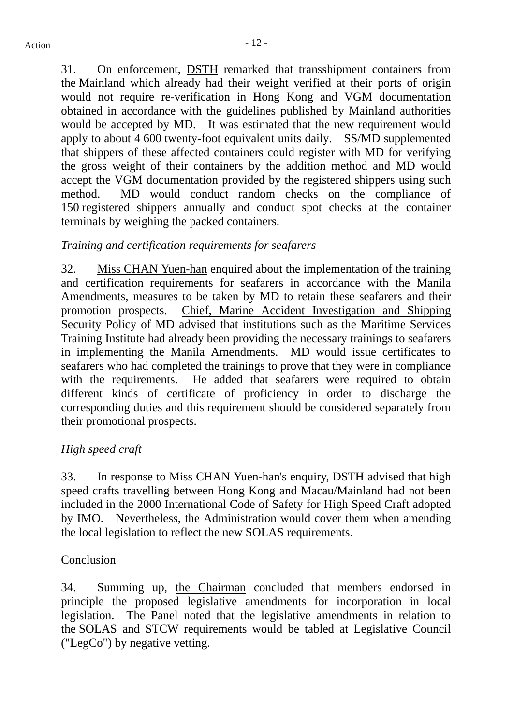31. On enforcement, DSTH remarked that transshipment containers from the Mainland which already had their weight verified at their ports of origin would not require re-verification in Hong Kong and VGM documentation obtained in accordance with the guidelines published by Mainland authorities would be accepted by MD. It was estimated that the new requirement would apply to about 4 600 twenty-foot equivalent units daily. SS/MD supplemented that shippers of these affected containers could register with MD for verifying the gross weight of their containers by the addition method and MD would accept the VGM documentation provided by the registered shippers using such method. MD would conduct random checks on the compliance of 150 registered shippers annually and conduct spot checks at the container terminals by weighing the packed containers.

## *Training and certification requirements for seafarers*

32. Miss CHAN Yuen-han enquired about the implementation of the training and certification requirements for seafarers in accordance with the Manila Amendments, measures to be taken by MD to retain these seafarers and their promotion prospects. Chief, Marine Accident Investigation and Shipping Security Policy of MD advised that institutions such as the Maritime Services Training Institute had already been providing the necessary trainings to seafarers in implementing the Manila Amendments. MD would issue certificates to seafarers who had completed the trainings to prove that they were in compliance with the requirements. He added that seafarers were required to obtain different kinds of certificate of proficiency in order to discharge the corresponding duties and this requirement should be considered separately from their promotional prospects.

# *High speed craft*

33. In response to Miss CHAN Yuen-han's enquiry, DSTH advised that high speed crafts travelling between Hong Kong and Macau/Mainland had not been included in the 2000 International Code of Safety for High Speed Craft adopted by IMO. Nevertheless, the Administration would cover them when amending the local legislation to reflect the new SOLAS requirements.

#### Conclusion

34. Summing up, the Chairman concluded that members endorsed in principle the proposed legislative amendments for incorporation in local legislation. The Panel noted that the legislative amendments in relation to the SOLAS and STCW requirements would be tabled at Legislative Council ("LegCo") by negative vetting.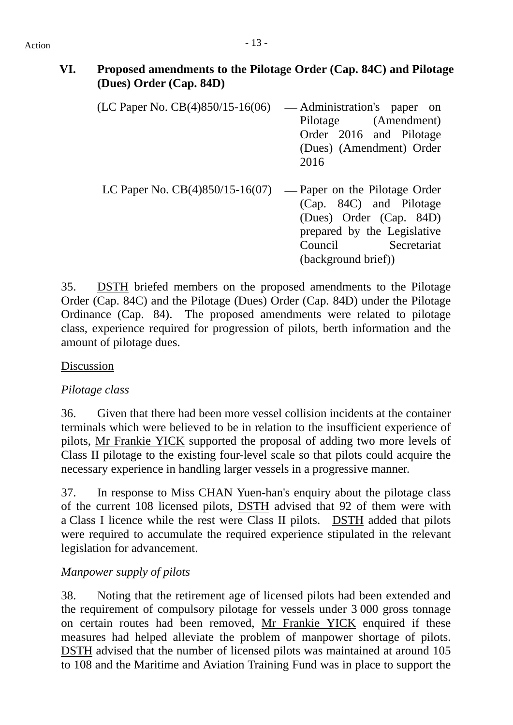# **VI. Proposed amendments to the Pilotage Order (Cap. 84C) and Pilotage (Dues) Order (Cap. 84D)**

- $(LC$  Paper No.  $CB(4)850/15-16(06)$  Administration's paper on Pilotage (Amendment) Order 2016 and Pilotage (Dues) (Amendment) Order 2016
- LC Paper No.  $CB(4)850/15-16(07)$  Paper on the Pilotage Order (Cap. 84C) and Pilotage (Dues) Order (Cap. 84D) prepared by the Legislative Council Secretariat (background brief))

35. DSTH briefed members on the proposed amendments to the Pilotage Order (Cap. 84C) and the Pilotage (Dues) Order (Cap. 84D) under the Pilotage Ordinance (Cap. 84). The proposed amendments were related to pilotage class, experience required for progression of pilots, berth information and the amount of pilotage dues.

#### Discussion

#### *Pilotage class*

36. Given that there had been more vessel collision incidents at the container terminals which were believed to be in relation to the insufficient experience of pilots, Mr Frankie YICK supported the proposal of adding two more levels of Class II pilotage to the existing four-level scale so that pilots could acquire the necessary experience in handling larger vessels in a progressive manner.

37. In response to Miss CHAN Yuen-han's enquiry about the pilotage class of the current 108 licensed pilots, DSTH advised that 92 of them were with a Class I licence while the rest were Class II pilots. DSTH added that pilots were required to accumulate the required experience stipulated in the relevant legislation for advancement.

# *Manpower supply of pilots*

38. Noting that the retirement age of licensed pilots had been extended and the requirement of compulsory pilotage for vessels under 3 000 gross tonnage on certain routes had been removed, Mr Frankie YICK enquired if these measures had helped alleviate the problem of manpower shortage of pilots. DSTH advised that the number of licensed pilots was maintained at around 105 to 108 and the Maritime and Aviation Training Fund was in place to support the